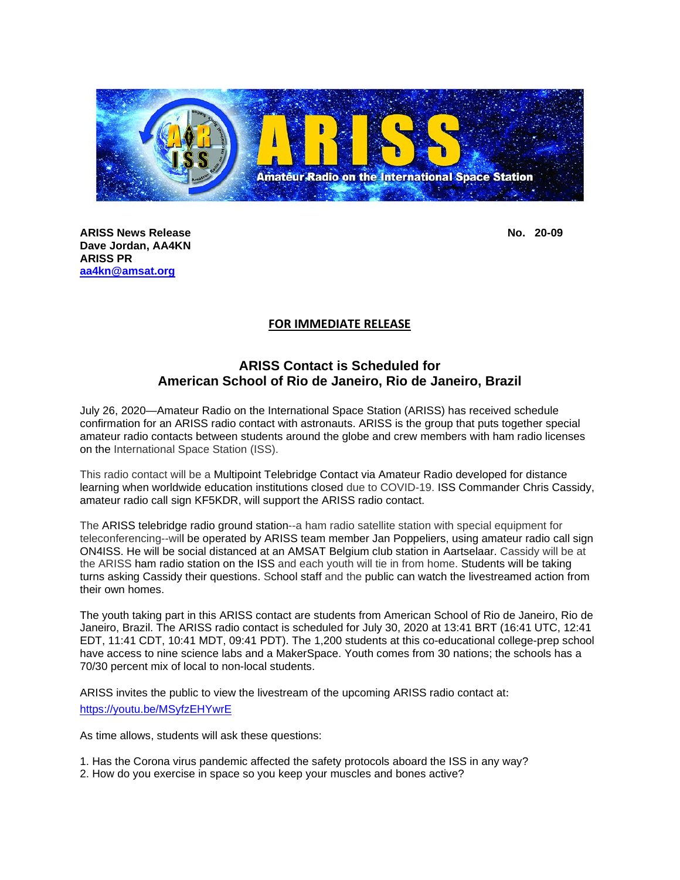

**ARISS News Release No. 20-09 No. 20-09 Dave Jordan, AA4KN ARISS PR [aa4kn@amsat.org](mailto:aa4kn@amsat.org)**

## **FOR IMMEDIATE RELEASE**

## **ARISS Contact is Scheduled for American School of Rio de Janeiro, Rio de Janeiro, Brazil**

July 26, 2020—Amateur Radio on the International Space Station (ARISS) has received schedule confirmation for an ARISS radio contact with astronauts. ARISS is the group that puts together special amateur radio contacts between students around the globe and crew members with ham radio licenses on the International Space Station (ISS).

This radio contact will be a Multipoint Telebridge Contact via Amateur Radio developed for distance learning when worldwide education institutions closed due to COVID-19. ISS Commander Chris Cassidy, amateur radio call sign KF5KDR, will support the ARISS radio contact.

The ARISS telebridge radio ground station--a ham radio satellite station with special equipment for teleconferencing--will be operated by ARISS team member Jan Poppeliers, using amateur radio call sign ON4ISS. He will be social distanced at an AMSAT Belgium club station in Aartselaar. Cassidy will be at the ARISS ham radio station on the ISS and each youth will tie in from home. Students will be taking turns asking Cassidy their questions. School staff and the public can watch the livestreamed action from their own homes.

The youth taking part in this ARISS contact are students from American School of Rio de Janeiro, Rio de Janeiro, Brazil. The ARISS radio contact is scheduled for July 30, 2020 at 13:41 BRT (16:41 UTC, 12:41 EDT, 11:41 CDT, 10:41 MDT, 09:41 PDT). The 1,200 students at this co-educational college-prep school have access to nine science labs and a MakerSpace. Youth comes from 30 nations; the schools has a 70/30 percent mix of local to non-local students.

ARISS invites the public to view the livestream of the upcoming ARISS radio contact at: <https://youtu.be/MSyfzEHYwrE>

As time allows, students will ask these questions:

1. Has the Corona virus pandemic affected the safety protocols aboard the ISS in any way?

2. How do you exercise in space so you keep your muscles and bones active?